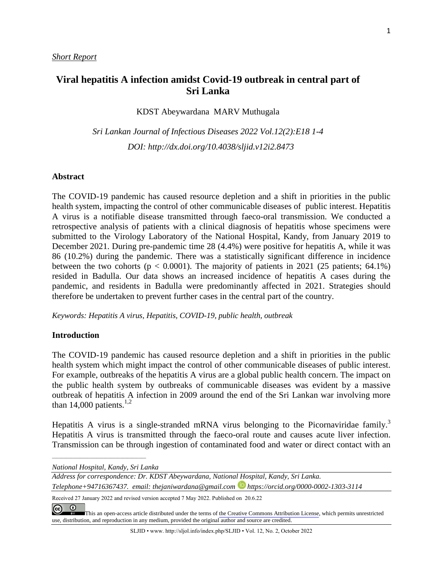# **Viral hepatitis A infection amidst Covid-19 outbreak in central part of Sri Lanka**

KDST Abeywardana MARV Muthugala

*Sri Lankan Journal of Infectious Diseases 2022 Vol.12(2):E18 1-4 DOI: [http://dx.doi.org/1](about:blank)0.4038/sljid.v12i2.8473*

#### **Abstract**

The COVID-19 pandemic has caused resource depletion and a shift in priorities in the public health system, impacting the control of other communicable diseases of public interest. Hepatitis A virus is a notifiable disease transmitted through faeco-oral transmission. We conducted a retrospective analysis of patients with a clinical diagnosis of hepatitis whose specimens were submitted to the Virology Laboratory of the National Hospital, Kandy, from January 2019 to December 2021. During pre-pandemic time 28 (4.4%) were positive for hepatitis A, while it was 86 (10.2%) during the pandemic. There was a statistically significant difference in incidence between the two cohorts ( $p < 0.0001$ ). The majority of patients in 2021 (25 patients; 64.1%) resided in Badulla. Our data shows an increased incidence of hepatitis A cases during the pandemic, and residents in Badulla were predominantly affected in 2021. Strategies should therefore be undertaken to prevent further cases in the central part of the country.

*Keywords: Hepatitis A virus, Hepatitis, COVID-19, public health, outbreak*

#### **Introduction**

The COVID-19 pandemic has caused resource depletion and a shift in priorities in the public health system which might impact the control of other communicable diseases of public interest. For example, outbreaks of the hepatitis A virus are a global public health concern. The impact on the public health system by outbreaks of communicable diseases was evident by a massive outbreak of hepatitis A infection in 2009 around the end of the Sri Lankan war involving more than 14,000 patients. $1,2$ 

Hepatitis A virus is a single-stranded mRNA virus belonging to the Picornaviridae family.<sup>3</sup> Hepatitis A virus is transmitted through the faeco-oral route and causes acute liver infection. Transmission can be through ingestion of contaminated food and water or direct contact with an

*National Hospital, Kandy, Sri Lanka*

*\_\_\_\_\_\_\_\_\_\_\_\_\_\_\_\_\_\_\_\_\_\_\_\_\_\_\_\_\_\_\_\_\_\_\_\_\_\_\_\_*

*Address for correspondence: Dr. KDST Abeywardana, National Hospital, Kandy, Sri Lanka.* 

*Telephone+94716367437. email: [thejaniwardana@gmail.com](mailto:thejaniwardana@gmail.com) https://orcid.org/0000-0002-1303-3114*

Received 27 January 2022 and revised version accepted 7 May 2022. Published on 20.6.22

 $\overline{0}$  $\odot$ 

[T](https://creativecommons.org/licenses/by/4.0/)his an open-access article distributed under the terms of the Creative Commons [Attribution](https://creativecommons.org/licenses/by/4.0/) License, which permits unrestricted use, distribution, and reproduction in any medium, provided the original author and source are credited.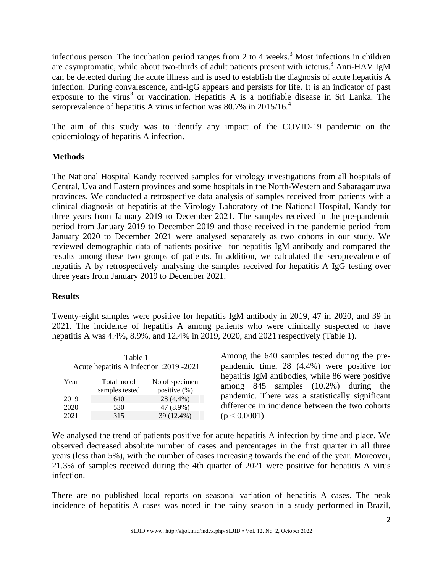infectious person. The incubation period ranges from 2 to 4 weeks. <sup>3</sup> Most infections in children are asymptomatic, while about two-thirds of adult patients present with icterus. <sup>3</sup> Anti-HAV IgM can be detected during the acute illness and is used to establish the diagnosis of acute hepatitis A infection. During convalescence, anti-IgG appears and persists for life. It is an indicator of past exposure to the virus<sup>3</sup> or vaccination. Hepatitis A is a notifiable disease in Sri Lanka. The seroprevalence of hepatitis A virus infection was 80.7% in 2015/16.<sup>4</sup>

The aim of this study was to identify any impact of the COVID-19 pandemic on the epidemiology of hepatitis A infection.

## **Methods**

The National Hospital Kandy received samples for virology investigations from all hospitals of Central, Uva and Eastern provinces and some hospitals in the North-Western and Sabaragamuwa provinces. We conducted a retrospective data analysis of samples received from patients with a clinical diagnosis of hepatitis at the Virology Laboratory of the National Hospital, Kandy for three years from January 2019 to December 2021. The samples received in the pre-pandemic period from January 2019 to December 2019 and those received in the pandemic period from January 2020 to December 2021 were analysed separately as two cohorts in our study. We reviewed demographic data of patients positive for hepatitis IgM antibody and compared the results among these two groups of patients. In addition, we calculated the seroprevalence of hepatitis A by retrospectively analysing the samples received for hepatitis A IgG testing over three years from January 2019 to December 2021.

### **Results**

Twenty-eight samples were positive for hepatitis IgM antibody in 2019, 47 in 2020, and 39 in 2021. The incidence of hepatitis A among patients who were clinically suspected to have hepatitis A was 4.4%, 8.9%, and 12.4% in 2019, 2020, and 2021 respectively (Table 1).

| Table 1<br>Acute hepatitis A infection : 2019 - 2021 |                |                |  |  |  |  |  |
|------------------------------------------------------|----------------|----------------|--|--|--|--|--|
| Year                                                 | Total no of    | No of specimen |  |  |  |  |  |
|                                                      | samples tested | positive (%)   |  |  |  |  |  |
| 2019                                                 | 640            | 28 (4.4%)      |  |  |  |  |  |
| 2020                                                 | 530            | 47 (8.9%)      |  |  |  |  |  |
| 2021                                                 | 315            | 39 (12.4%)     |  |  |  |  |  |

Among the 640 samples tested during the prepandemic time, 28 (4.4%) were positive for hepatitis IgM antibodies, while 86 were positive among 845 samples (10.2%) during the pandemic. There was a statistically significant difference in incidence between the two cohorts  $(p < 0.0001)$ .

We analysed the trend of patients positive for acute hepatitis A infection by time and place. We observed decreased absolute number of cases and percentages in the first quarter in all three years (less than 5%), with the number of cases increasing towards the end of the year. Moreover, 21.3% of samples received during the 4th quarter of 2021 were positive for hepatitis A virus infection.

There are no published local reports on seasonal variation of hepatitis A cases. The peak incidence of hepatitis A cases was noted in the rainy season in a study performed in Brazil,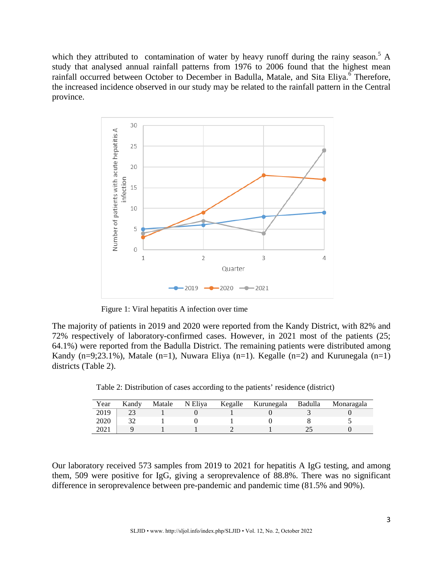which they attributed to contamination of water by heavy runoff during the rainy season.<sup>5</sup> A study that analysed annual rainfall patterns from 1976 to 2006 found that the highest mean rainfall occurred between October to December in Badulla, Matale, and Sita Eliya.<sup>6</sup> Therefore, the increased incidence observed in our study may be related to the rainfall pattern in the Central province.



Figure 1: Viral hepatitis A infection over time

The majority of patients in 2019 and 2020 were reported from the Kandy District, with 82% and 72% respectively of laboratory-confirmed cases. However, in 2021 most of the patients (25; 64.1%) were reported from the Badulla District. The remaining patients were distributed among Kandy (n=9;23.1%), Matale (n=1), Nuwara Eliya (n=1). Kegalle (n=2) and Kurunegala (n=1) districts (Table 2).

Table 2: Distribution of cases according to the patients' residence (district)

| Year | Kandv | Matale | N Eliya | Kegalle | Kurunegala | Badulla | Monaragala |
|------|-------|--------|---------|---------|------------|---------|------------|
| 2019 |       |        |         |         |            |         |            |
| 2020 | າາ    |        |         |         |            |         |            |
| 2021 |       |        |         |         |            |         |            |

Our laboratory received 573 samples from 2019 to 2021 for hepatitis A IgG testing, and among them, 509 were positive for IgG, giving a seroprevalence of 88.8%. There was no significant difference in seroprevalence between pre-pandemic and pandemic time (81.5% and 90%).